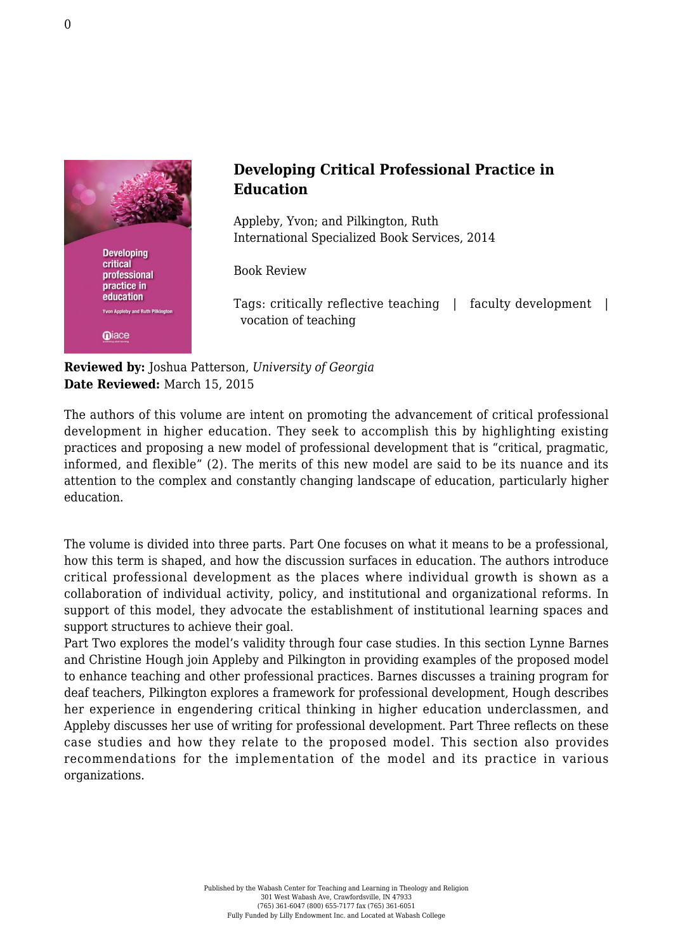

## **Developing Critical Professional Practice in Education**

Appleby, Yvon; and Pilkington, Ruth [International Specialized Book Services, 2014](http://www.isbs.com/partnumber.asp?cid=27373&pnid=465471)

Book Review

Tags: critically reflective teaching | faculty development | vocation of teaching

**Reviewed by:** Joshua Patterson, *University of Georgia* **Date Reviewed:** March 15, 2015

The authors of this volume are intent on promoting the advancement of critical professional development in higher education. They seek to accomplish this by highlighting existing practices and proposing a new model of professional development that is "critical, pragmatic, informed, and flexible" (2). The merits of this new model are said to be its nuance and its attention to the complex and constantly changing landscape of education, particularly higher education.

The volume is divided into three parts. Part One focuses on what it means to be a professional, how this term is shaped, and how the discussion surfaces in education. The authors introduce critical professional development as the places where individual growth is shown as a collaboration of individual activity, policy, and institutional and organizational reforms. In support of this model, they advocate the establishment of institutional learning spaces and support structures to achieve their goal.

Part Two explores the model's validity through four case studies. In this section Lynne Barnes and Christine Hough join Appleby and Pilkington in providing examples of the proposed model to enhance teaching and other professional practices. Barnes discusses a training program for deaf teachers, Pilkington explores a framework for professional development, Hough describes her experience in engendering critical thinking in higher education underclassmen, and Appleby discusses her use of writing for professional development. Part Three reflects on these case studies and how they relate to the proposed model. This section also provides recommendations for the implementation of the model and its practice in various organizations.